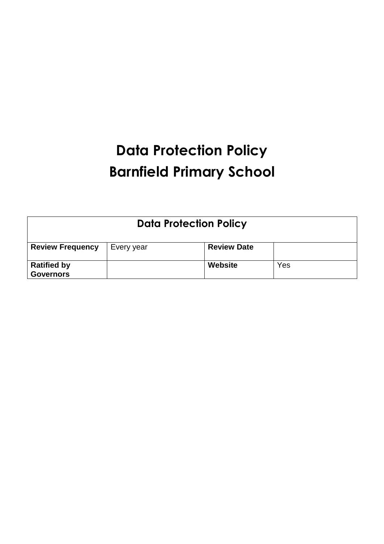# **Data Protection Policy Barnfield Primary School**

| <b>Data Protection Policy</b>          |            |                    |     |  |
|----------------------------------------|------------|--------------------|-----|--|
| <b>Review Frequency</b>                | Every year | <b>Review Date</b> |     |  |
| <b>Ratified by</b><br><b>Governors</b> |            | Website            | Yes |  |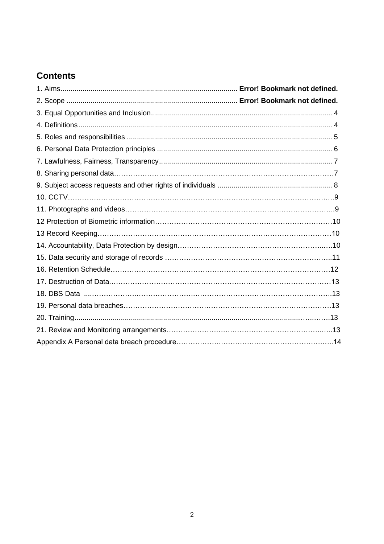# **Contents**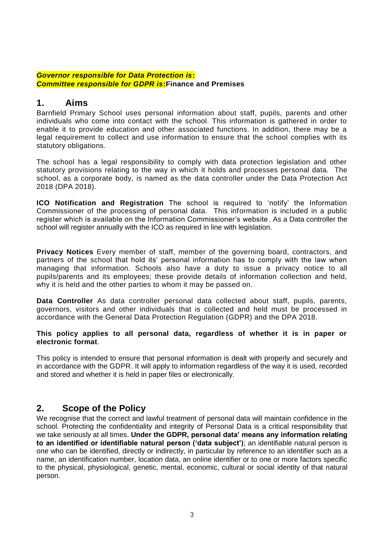#### *Governor responsible for Data Protection is***:** *Committee responsible for GDPR is***:Finance and Premises**

#### **1. Aims**

Barnfield Primary School uses personal information about staff, pupils, parents and other individuals who come into contact with the school. This information is gathered in order to enable it to provide education and other associated functions. In addition, there may be a legal requirement to collect and use information to ensure that the school complies with its statutory obligations.

The school has a legal responsibility to comply with data protection legislation and other statutory provisions relating to the way in which it holds and processes personal data. The school, as a corporate body, is named as the data controller under the Data Protection Act 2018 (DPA 2018).

**ICO Notification and Registration** The school is required to 'notify' the Information Commissioner of the processing of personal data. This information is included in a public register which is available on the Information Commissioner's website. As a Data controller the school will register annually with the ICO as required in line with legislation.

**Privacy Notices** Every member of staff, member of the governing board, contractors, and partners of the school that hold its' personal information has to comply with the law when managing that information. Schools also have a duty to issue a privacy notice to all pupils/parents and its employees; these provide details of information collection and held, why it is held and the other parties to whom it may be passed on.

**Data Controller** As data controller personal data collected about staff, pupils, parents, governors, visitors and other individuals that is collected and held must be processed in accordance with the General Data Protection Regulation (GDPR) and the DPA 2018.

#### **This policy applies to all personal data, regardless of whether it is in paper or electronic format**.

This policy is intended to ensure that personal information is dealt with properly and securely and in accordance with the GDPR. It will apply to information regardless of the way it is used, recorded and stored and whether it is held in paper files or electronically.

## **2. Scope of the Policy**

We recognise that the correct and lawful treatment of personal data will maintain confidence in the school. Protecting the confidentiality and integrity of Personal Data is a critical responsibility that we take seriously at all times. **Under the GDPR, personal data' means any information relating to an identified or identifiable natural person ('data subject')**; an identifiable natural person is one who can be identified, directly or indirectly, in particular by reference to an identifier such as a name, an identification number, location data, an online identifier or to one or more factors specific to the physical, physiological, genetic, mental, economic, cultural or social identity of that natural person.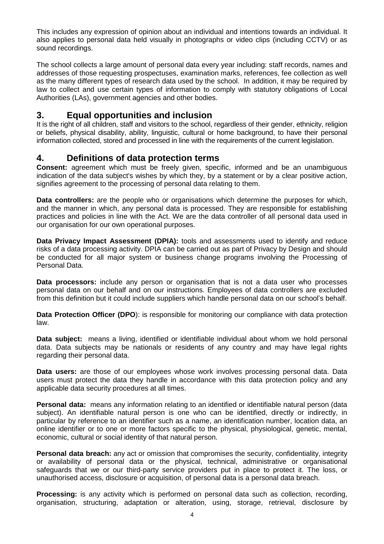This includes any expression of opinion about an individual and intentions towards an individual. It also applies to personal data held visually in photographs or video clips (including CCTV) or as sound recordings.

The school collects a large amount of personal data every year including: staff records, names and addresses of those requesting prospectuses, examination marks, references, fee collection as well as the many different types of research data used by the school. In addition, it may be required by law to collect and use certain types of information to comply with statutory obligations of Local Authorities (LAs), government agencies and other bodies.

## **3. Equal opportunities and inclusion**

It is the right of all children, staff and visitors to the school, regardless of their gender, ethnicity, religion or beliefs, physical disability, ability, linguistic, cultural or home background, to have their personal information collected, stored and processed in line with the requirements of the current legislation.

#### **4. Definitions of data protection terms**

**Consent:** agreement which must be freely given, specific, informed and be an unambiguous indication of the data subject's wishes by which they, by a statement or by a clear positive action, signifies agreement to the processing of personal data relating to them.

**Data controllers:** are the people who or organisations which determine the purposes for which, and the manner in which, any personal data is processed. They are responsible for establishing practices and policies in line with the Act. We are the data controller of all personal data used in our organisation for our own operational purposes.

**Data Privacy Impact Assessment (DPIA):** tools and assessments used to identify and reduce risks of a data processing activity. DPIA can be carried out as part of Privacy by Design and should be conducted for all major system or business change programs involving the Processing of Personal Data.

**Data processors:** include any person or organisation that is not a data user who processes personal data on our behalf and on our instructions. Employees of data controllers are excluded from this definition but it could include suppliers which handle personal data on our school's behalf.

**Data Protection Officer (DPO):** is responsible for monitoring our compliance with data protection law.

**Data subject:** means a living, identified or identifiable individual about whom we hold personal data. Data subjects may be nationals or residents of any country and may have legal rights regarding their personal data.

**Data users:** are those of our employees whose work involves processing personal data. Data users must protect the data they handle in accordance with this data protection policy and any applicable data security procedures at all times.

**Personal data:** means any information relating to an identified or identifiable natural person (data subject). An identifiable natural person is one who can be identified, directly or indirectly, in particular by reference to an identifier such as a name, an identification number, location data, an online identifier or to one or more factors specific to the physical, physiological, genetic, mental, economic, cultural or social identity of that natural person.

**Personal data breach:** any act or omission that compromises the security, confidentiality, integrity or availability of personal data or the physical, technical, administrative or organisational safeguards that we or our third-party service providers put in place to protect it. The loss, or unauthorised access, disclosure or acquisition, of personal data is a personal data breach.

**Processing:** is any activity which is performed on personal data such as collection, recording, organisation, structuring, adaptation or alteration, using, storage, retrieval, disclosure by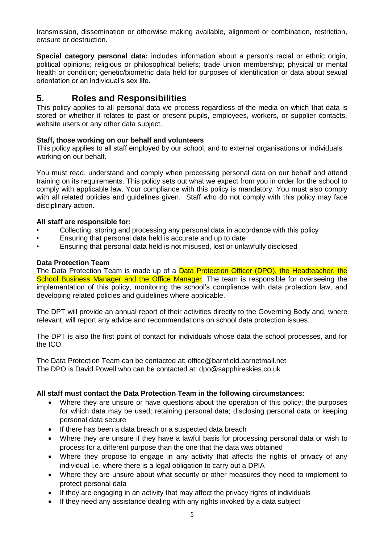transmission, dissemination or otherwise making available, alignment or combination, restriction, erasure or destruction.

**Special category personal data:** includes information about a person's racial or ethnic origin, political opinions; religious or philosophical beliefs; trade union membership; physical or mental health or condition; genetic/biometric data held for purposes of identification or data about sexual orientation or an individual's sex life.

## **5. Roles and Responsibilities**

This policy applies to all personal data we process regardless of the media on which that data is stored or whether it relates to past or present pupils, employees, workers, or supplier contacts, website users or any other data subject.

#### **Staff, those working on our behalf and volunteers**

This policy applies to all staff employed by our school, and to external organisations or individuals working on our behalf.

You must read, understand and comply when processing personal data on our behalf and attend training on its requirements. This policy sets out what we expect from you in order for the school to comply with applicable law. Your compliance with this policy is mandatory. You must also comply with all related policies and guidelines given. Staff who do not comply with this policy may face disciplinary action.

#### **All staff are responsible for:**

- Collecting, storing and processing any personal data in accordance with this policy
- Ensuring that personal data held is accurate and up to date
- Ensuring that personal data held is not misused, lost or unlawfully disclosed

#### **Data Protection Team**

The Data Protection Team is made up of a **Data Protection Officer (DPO)**, the Headteacher, the School Business Manager and the Office Manager. The team is responsible for overseeing the implementation of this policy, monitoring the school's compliance with data protection law, and developing related policies and guidelines where applicable.

The DPT will provide an annual report of their activities directly to the Governing Body and, where relevant, will report any advice and recommendations on school data protection issues.

The DPT is also the first point of contact for individuals whose data the school processes, and for the ICO.

The Data Protection Team can be contacted at: office@barnfield.barnetmail.net The DPO is David Powell who can be contacted at: dpo@sapphireskies.co.uk

#### **All staff must contact the Data Protection Team in the following circumstances:**

- Where they are unsure or have questions about the operation of this policy; the purposes for which data may be used; retaining personal data; disclosing personal data or keeping personal data secure
- If there has been a data breach or a suspected data breach
- Where they are unsure if they have a lawful basis for processing personal data or wish to process for a different purpose than the one that the data was obtained
- Where they propose to engage in any activity that affects the rights of privacy of any individual i.e. where there is a legal obligation to carry out a DPIA
- Where they are unsure about what security or other measures they need to implement to protect personal data
- If they are engaging in an activity that may affect the privacy rights of individuals
- If they need any assistance dealing with any rights invoked by a data subject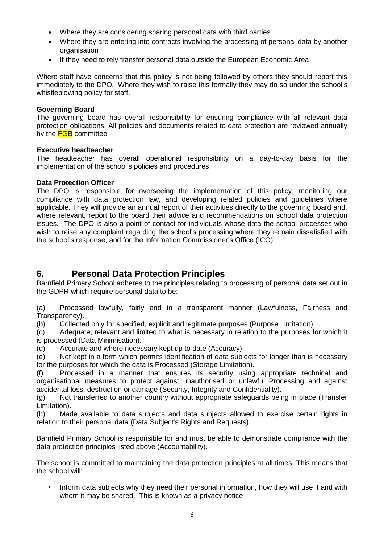- Where they are considering sharing personal data with third parties
- Where they are entering into contracts involving the processing of personal data by another organisation
- If they need to rely transfer personal data outside the European Economic Area

Where staff have concerns that this policy is not being followed by others they should report this immediately to the DPO. Where they wish to raise this formally they may do so under the school's whistleblowing policy for staff.

#### **Governing Board**

The governing board has overall responsibility for ensuring compliance with all relevant data protection obligations. All policies and documents related to data protection are reviewed annually by the **FGB** committee

#### **Executive headteacher**

The headteacher has overall operational responsibility on a day-to-day basis for the implementation of the school's policies and procedures.

#### **Data Protection Officer**

The DPO is responsible for overseeing the implementation of this policy, monitoring our compliance with data protection law, and developing related policies and guidelines where applicable. They will provide an annual report of their activities directly to the governing board and, where relevant, report to the board their advice and recommendations on school data protection issues. The DPO is also a point of contact for individuals whose data the school processes who wish to raise any complaint regarding the school's processing where they remain dissatisfied with the school's response, and for the Information Commissioner's Office (ICO).

#### **6. Personal Data Protection Principles**

Barnfield Primary School adheres to the principles relating to processing of personal data set out in the GDPR which require personal data to be:

(a) Processed lawfully, fairly and in a transparent manner (Lawfulness, Fairness and Transparency).

(b) Collected only for specified, explicit and legitimate purposes (Purpose Limitation).

(c) Adequate, relevant and limited to what is necessary in relation to the purposes for which it is processed (Data Minimisation).

(d) Accurate and where necessary kept up to date (Accuracy).

(e) Not kept in a form which permits identification of data subjects for longer than is necessary for the purposes for which the data is Processed (Storage Limitation).

(f) Processed in a manner that ensures its security using appropriate technical and organisational measures to protect against unauthorised or unlawful Processing and against accidental loss, destruction or damage (Security, Integrity and Confidentiality).

(g) Not transferred to another country without appropriate safeguards being in place (Transfer Limitation).

(h) Made available to data subjects and data subjects allowed to exercise certain rights in relation to their personal data (Data Subject's Rights and Requests).

Barnfield Primary School is responsible for and must be able to demonstrate compliance with the data protection principles listed above (Accountability).

The school is committed to maintaining the data protection principles at all times. This means that the school will:

• Inform data subjects why they need their personal information, how they will use it and with whom it may be shared. This is known as a privacy notice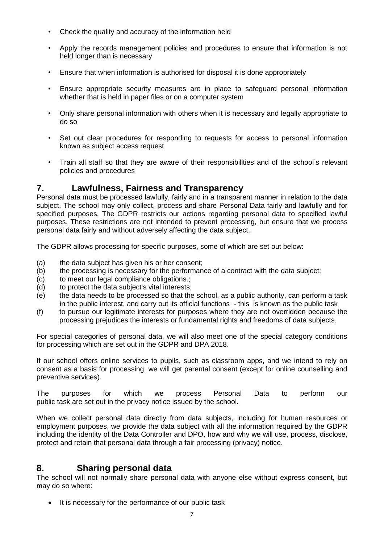- Check the quality and accuracy of the information held
- Apply the records management policies and procedures to ensure that information is not held longer than is necessary
- Ensure that when information is authorised for disposal it is done appropriately
- Ensure appropriate security measures are in place to safeguard personal information whether that is held in paper files or on a computer system
- Only share personal information with others when it is necessary and legally appropriate to do so
- Set out clear procedures for responding to requests for access to personal information known as subject access request
- Train all staff so that they are aware of their responsibilities and of the school's relevant policies and procedures

#### **7. Lawfulness, Fairness and Transparency**

Personal data must be processed lawfully, fairly and in a transparent manner in relation to the data subject. The school may only collect, process and share Personal Data fairly and lawfully and for specified purposes. The GDPR restricts our actions regarding personal data to specified lawful purposes. These restrictions are not intended to prevent processing, but ensure that we process personal data fairly and without adversely affecting the data subject.

The GDPR allows processing for specific purposes, some of which are set out below:

- (a) the data subject has given his or her consent;
- (b) the processing is necessary for the performance of a contract with the data subject;
- (c) to meet our legal compliance obligations.;
- (d) to protect the data subject's vital interests;
- (e) the data needs to be processed so that the school, as a public authority, can perform a task in the public interest, and carry out its official functions - this is known as the public task
- (f) to pursue our legitimate interests for purposes where they are not overridden because the processing prejudices the interests or fundamental rights and freedoms of data subjects.

For special categories of personal data, we will also meet one of the special category conditions for processing which are set out in the GDPR and DPA 2018.

If our school offers online services to pupils, such as classroom apps, and we intend to rely on consent as a basis for processing, we will get parental consent (except for online counselling and preventive services).

The purposes for which we process Personal Data to perform our public task are set out in the privacy notice issued by the school.

When we collect personal data directly from data subjects, including for human resources or employment purposes, we provide the data subject with all the information required by the GDPR including the identity of the Data Controller and DPO, how and why we will use, process, disclose, protect and retain that personal data through a fair processing (privacy) notice.

#### **8. Sharing personal data**

The school will not normally share personal data with anyone else without express consent, but may do so where:

• It is necessary for the performance of our public task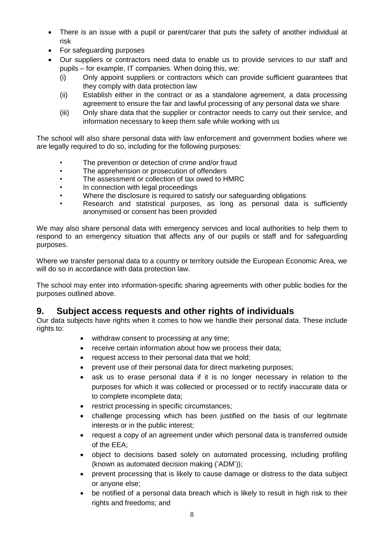- There is an issue with a pupil or parent/carer that puts the safety of another individual at risk
- For safeguarding purposes
- Our suppliers or contractors need data to enable us to provide services to our staff and pupils – for example, IT companies. When doing this, we:
	- (i) Only appoint suppliers or contractors which can provide sufficient guarantees that they comply with data protection law
	- (ii) Establish either in the contract or as a standalone agreement, a data processing agreement to ensure the fair and lawful processing of any personal data we share
	- (iii) Only share data that the supplier or contractor needs to carry out their service, and information necessary to keep them safe while working with us

The school will also share personal data with law enforcement and government bodies where we are legally required to do so, including for the following purposes:

- The prevention or detection of crime and/or fraud
- The apprehension or prosecution of offenders
- The assessment or collection of tax owed to HMRC
- In connection with legal proceedings
- Where the disclosure is required to satisfy our safeguarding obligations
- Research and statistical purposes, as long as personal data is sufficiently anonymised or consent has been provided

We may also share personal data with emergency services and local authorities to help them to respond to an emergency situation that affects any of our pupils or staff and for safeguarding purposes.

Where we transfer personal data to a country or territory outside the European Economic Area, we will do so in accordance with data protection law.

The school may enter into information-specific sharing agreements with other public bodies for the purposes outlined above.

## **9. Subject access requests and other rights of individuals**

Our data subjects have rights when it comes to how we handle their personal data. These include rights to:

- withdraw consent to processing at any time;
- receive certain information about how we process their data;
- request access to their personal data that we hold;
- prevent use of their personal data for direct marketing purposes;
- ask us to erase personal data if it is no longer necessary in relation to the purposes for which it was collected or processed or to rectify inaccurate data or to complete incomplete data;
- restrict processing in specific circumstances;
- challenge processing which has been justified on the basis of our legitimate interests or in the public interest;
- request a copy of an agreement under which personal data is transferred outside of the EEA;
- object to decisions based solely on automated processing, including profiling (known as automated decision making ('ADM'));
- prevent processing that is likely to cause damage or distress to the data subject or anyone else;
- be notified of a personal data breach which is likely to result in high risk to their rights and freedoms; and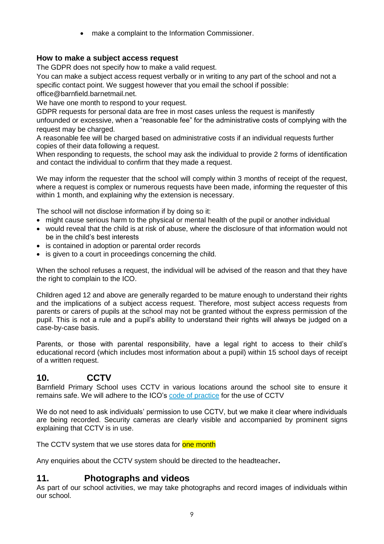• make a complaint to the Information Commissioner.

#### **How to make a subject access request**

The GDPR does not specify how to make a valid request.

You can make a subject access request verbally or in writing to any part of the school and not a specific contact point. We suggest however that you email the school if possible: office@barnfield.barnetmail.net.

We have one month to respond to your request.

GDPR requests for personal data are free in most cases unless the request is manifestly

unfounded or excessive, when a "reasonable fee" for the administrative costs of complying with the request may be charged.

A reasonable fee will be charged based on administrative costs if an individual requests further copies of their data following a request.

When responding to requests, the school may ask the individual to provide 2 forms of identification and contact the individual to confirm that they made a request.

We may inform the requester that the school will comply within 3 months of receipt of the request, where a request is complex or numerous requests have been made, informing the requester of this within 1 month, and explaining why the extension is necessary.

The school will not disclose information if by doing so it:

- might cause serious harm to the physical or mental health of the pupil or another individual
- would reveal that the child is at risk of abuse, where the disclosure of that information would not be in the child's best interests
- is contained in adoption or parental order records
- is given to a court in proceedings concerning the child.

When the school refuses a request, the individual will be advised of the reason and that they have the right to complain to the ICO.

Children aged 12 and above are generally regarded to be mature enough to understand their rights and the implications of a subject access request. Therefore, most subject access requests from parents or carers of pupils at the school may not be granted without the express permission of the pupil. This is not a rule and a pupil's ability to understand their rights will always be judged on a case-by-case basis.

Parents, or those with parental responsibility, have a legal right to access to their child's educational record (which includes most information about a pupil) within 15 school days of receipt of a written request.

## **10. CCTV**

Barnfield Primary School uses CCTV in various locations around the school site to ensure it remains safe. We will adhere to the ICO's [code of practice](https://ico.org.uk/media/for-organisations/documents/1542/cctv-code-of-practice.pdf) for the use of CCTV

We do not need to ask individuals' permission to use CCTV, but we make it clear where individuals are being recorded. Security cameras are clearly visible and accompanied by prominent signs explaining that CCTV is in use.

The CCTV system that we use stores data for one month

Any enquiries about the CCTV system should be directed to the headteacher**.**

## **11. Photographs and videos**

As part of our school activities, we may take photographs and record images of individuals within our school.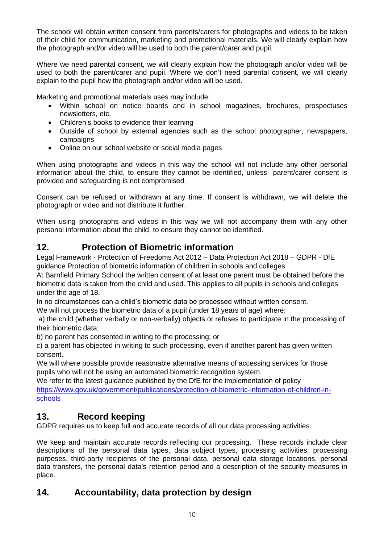The school will obtain written consent from parents/carers for photographs and videos to be taken of their child for communication, marketing and promotional materials. We will clearly explain how the photograph and/or video will be used to both the parent/carer and pupil.

Where we need parental consent, we will clearly explain how the photograph and/or video will be used to both the parent/carer and pupil. Where we don't need parental consent, we will clearly explain to the pupil how the photograph and/or video will be used.

Marketing and promotional materials uses may include:

- Within school on notice boards and in school magazines, brochures, prospectuses newsletters, etc.
- Children's books to evidence their learning
- Outside of school by external agencies such as the school photographer, newspapers, campaigns
- Online on our school website or social media pages

When using photographs and videos in this way the school will not include any other personal information about the child, to ensure they cannot be identified, unless parent/carer consent is provided and safeguarding is not compromised.

Consent can be refused or withdrawn at any time. If consent is withdrawn, we will delete the photograph or video and not distribute it further.

When using photographs and videos in this way we will not accompany them with any other personal information about the child, to ensure they cannot be identified.

## **12. Protection of Biometric information**

Legal Framework - Protection of Freedoms Act 2012 – Data Protection Act 2018 – GDPR - DfE guidance Protection of biometric information of children in schools and colleges

At Barnfield Primary School the written consent of at least one parent must be obtained before the biometric data is taken from the child and used. This applies to all pupils in schools and colleges under the age of 18.

In no circumstances can a child's biometric data be processed without written consent.

We will not process the biometric data of a pupil (under 18 years of age) where:

a) the child (whether verbally or non-verbally) objects or refuses to participate in the processing of their biometric data;

b) no parent has consented in writing to the processing; or

c) a parent has objected in writing to such processing, even if another parent has given written consent.

We will where possible provide reasonable alternative means of accessing services for those pupils who will not be using an automated biometric recognition system.

We refer to the latest guidance published by the DfE for the implementation of policy [https://www.gov.uk/government/publications/protection-of-biometric-information-of-children-in](https://www.gov.uk/government/publications/protection-of-biometric-information-of-children-in-schools)[schools](https://www.gov.uk/government/publications/protection-of-biometric-information-of-children-in-schools)

## **13. Record keeping**

GDPR requires us to keep full and accurate records of all our data processing activities.

We keep and maintain accurate records reflecting our processing. These records include clear descriptions of the personal data types, data subject types, processing activities, processing purposes, third-party recipients of the personal data, personal data storage locations, personal data transfers, the personal data's retention period and a description of the security measures in place.

## **14. Accountability, data protection by design**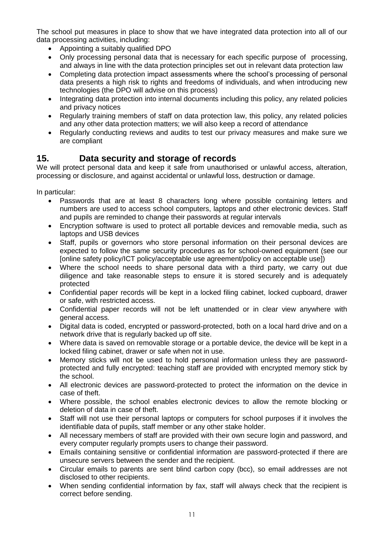The school put measures in place to show that we have integrated data protection into all of our data processing activities, including:

- Appointing a suitably qualified DPO
- Only processing personal data that is necessary for each specific purpose of processing, and always in line with the data protection principles set out in relevant data protection law
- Completing data protection impact assessments where the school's processing of personal data presents a high risk to rights and freedoms of individuals, and when introducing new technologies (the DPO will advise on this process)
- Integrating data protection into internal documents including this policy, any related policies and privacy notices
- Regularly training members of staff on data protection law, this policy, any related policies and any other data protection matters; we will also keep a record of attendance
- Regularly conducting reviews and audits to test our privacy measures and make sure we are compliant

## **15. Data security and storage of records**

We will protect personal data and keep it safe from unauthorised or unlawful access, alteration, processing or disclosure, and against accidental or unlawful loss, destruction or damage.

In particular:

- Passwords that are at least 8 characters long where possible containing letters and numbers are used to access school computers, laptops and other electronic devices. Staff and pupils are reminded to change their passwords at regular intervals
- Encryption software is used to protect all portable devices and removable media, such as laptops and USB devices
- Staff, pupils or governors who store personal information on their personal devices are expected to follow the same security procedures as for school-owned equipment (see our [online safety policy/ICT policy/acceptable use agreement/policy on acceptable use])
- Where the school needs to share personal data with a third party, we carry out due diligence and take reasonable steps to ensure it is stored securely and is adequately protected
- Confidential paper records will be kept in a locked filing cabinet, locked cupboard, drawer or safe, with restricted access.
- Confidential paper records will not be left unattended or in clear view anywhere with general access.
- Digital data is coded, encrypted or password-protected, both on a local hard drive and on a network drive that is regularly backed up off site.
- Where data is saved on removable storage or a portable device, the device will be kept in a locked filing cabinet, drawer or safe when not in use.
- Memory sticks will not be used to hold personal information unless they are passwordprotected and fully encrypted: teaching staff are provided with encrypted memory stick by the school.
- All electronic devices are password-protected to protect the information on the device in case of theft.
- Where possible, the school enables electronic devices to allow the remote blocking or deletion of data in case of theft.
- Staff will not use their personal laptops or computers for school purposes if it involves the identifiable data of pupils, staff member or any other stake holder.
- All necessary members of staff are provided with their own secure login and password, and every computer regularly prompts users to change their password.
- Emails containing sensitive or confidential information are password-protected if there are unsecure servers between the sender and the recipient.
- Circular emails to parents are sent blind carbon copy (bcc), so email addresses are not disclosed to other recipients.
- When sending confidential information by fax, staff will always check that the recipient is correct before sending.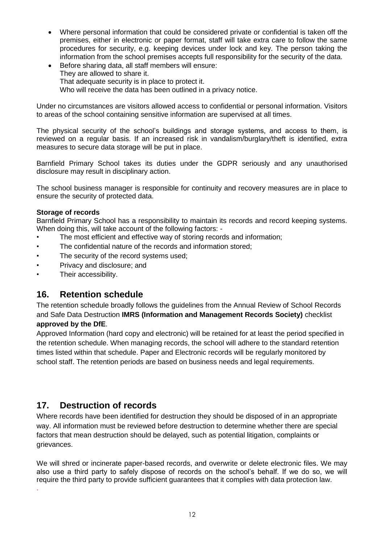- Where personal information that could be considered private or confidential is taken off the premises, either in electronic or paper format, staff will take extra care to follow the same procedures for security, e.g. keeping devices under lock and key. The person taking the information from the school premises accepts full responsibility for the security of the data.
- Before sharing data, all staff members will ensure: They are allowed to share it. That adequate security is in place to protect it. Who will receive the data has been outlined in a privacy notice.

Under no circumstances are visitors allowed access to confidential or personal information. Visitors to areas of the school containing sensitive information are supervised at all times.

The physical security of the school's buildings and storage systems, and access to them, is reviewed on a regular basis. If an increased risk in vandalism/burglary/theft is identified, extra measures to secure data storage will be put in place.

Barnfield Primary School takes its duties under the GDPR seriously and any unauthorised disclosure may result in disciplinary action.

The school business manager is responsible for continuity and recovery measures are in place to ensure the security of protected data.

#### **Storage of records**

Barnfield Primary School has a responsibility to maintain its records and record keeping systems. When doing this, will take account of the following factors: -

- The most efficient and effective way of storing records and information;
- The confidential nature of the records and information stored;
- The security of the record systems used;
- Privacy and disclosure; and
- Their accessibility.

#### **16. Retention schedule**

The retention schedule broadly follows the guidelines from the Annual Review of School Records and Safe Data Destruction **IMRS (Information and Management Records Society)** checklist **approved by the DfE**.

Approved Information (hard copy and electronic) will be retained for at least the period specified in the retention schedule. When managing records, the school will adhere to the standard retention times listed within that schedule. Paper and Electronic records will be regularly monitored by school staff. The retention periods are based on business needs and legal requirements.

## **17. Destruction of records**

.

Where records have been identified for destruction they should be disposed of in an appropriate way. All information must be reviewed before destruction to determine whether there are special factors that mean destruction should be delayed, such as potential litigation, complaints or grievances.

We will shred or incinerate paper-based records, and overwrite or delete electronic files. We may also use a third party to safely dispose of records on the school's behalf. If we do so, we will require the third party to provide sufficient guarantees that it complies with data protection law.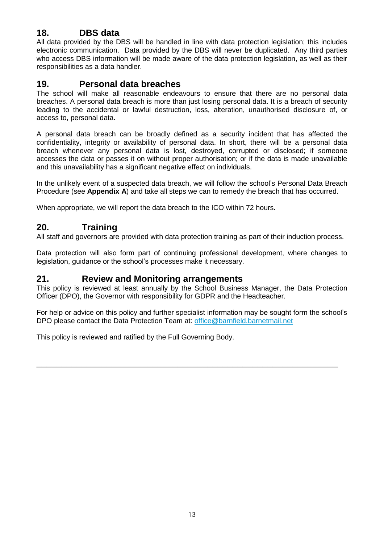## **18. DBS data**

All data provided by the DBS will be handled in line with data protection legislation; this includes electronic communication. Data provided by the DBS will never be duplicated. Any third parties who access DBS information will be made aware of the data protection legislation, as well as their responsibilities as a data handler.

## **19. Personal data breaches**

The school will make all reasonable endeavours to ensure that there are no personal data breaches. A personal data breach is more than just losing personal data. It is a breach of security leading to the accidental or lawful destruction, loss, alteration, unauthorised disclosure of, or access to, personal data.

A personal data breach can be broadly defined as a security incident that has affected the confidentiality, integrity or availability of personal data. In short, there will be a personal data breach whenever any personal data is lost, destroyed, corrupted or disclosed; if someone accesses the data or passes it on without proper authorisation; or if the data is made unavailable and this unavailability has a significant negative effect on individuals.

In the unlikely event of a suspected data breach, we will follow the school's Personal Data Breach Procedure (see **Appendix A**) and take all steps we can to remedy the breach that has occurred.

When appropriate, we will report the data breach to the ICO within 72 hours.

## **20. Training**

All staff and governors are provided with data protection training as part of their induction process.

Data protection will also form part of continuing professional development, where changes to legislation, guidance or the school's processes make it necessary.

#### **21. Review and Monitoring arrangements**

This policy is reviewed at least annually by the School Business Manager, the Data Protection Officer (DPO), the Governor with responsibility for GDPR and the Headteacher.

For help or advice on this policy and further specialist information may be sought form the school's DPO please contact the Data Protection Team at: [office@barnfield.barnetmail.net](mailto:office@barnfield.barnetmail.net)

\_\_\_\_\_\_\_\_\_\_\_\_\_\_\_\_\_\_\_\_\_\_\_\_\_\_\_\_\_\_\_\_\_\_\_\_\_\_\_\_\_\_\_\_\_\_\_\_\_\_\_\_\_\_\_\_\_\_\_\_

This policy is reviewed and ratified by the Full Governing Body.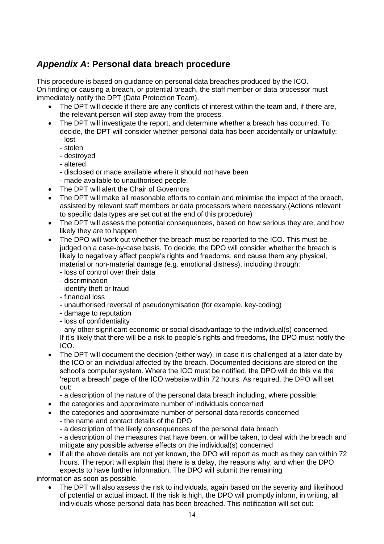# *Appendix A***: Personal data breach procedure**

This procedure is based on guidance on personal data breaches produced by the ICO. On finding or causing a breach, or potential breach, the staff member or data processor must immediately notify the DPT (Data Protection Team).

- The DPT will decide if there are any conflicts of interest within the team and, if there are, the relevant person will step away from the process.
- The DPT will investigate the report, and determine whether a breach has occurred. To decide, the DPT will consider whether personal data has been accidentally or unlawfully:
	- lost
	- stolen
	- destroyed
	- altered
	- disclosed or made available where it should not have been
	- made available to unauthorised people.
- The DPT will alert the Chair of Governors
- The DPT will make all reasonable efforts to contain and minimise the impact of the breach, assisted by relevant staff members or data processors where necessary.(Actions relevant to specific data types are set out at the end of this procedure)
- The DPT will assess the potential consequences, based on how serious they are, and how likely they are to happen
- The DPO will work out whether the breach must be reported to the ICO. This must be judged on a case-by-case basis. To decide, the DPO will consider whether the breach is likely to negatively affect people's rights and freedoms, and cause them any physical, material or non-material damage (e.g. emotional distress), including through:
	- loss of control over their data
	- discrimination
	- identify theft or fraud
	- financial loss
	- unauthorised reversal of pseudonymisation (for example, key-coding)
	- damage to reputation
	- loss of confidentiality

- any other significant economic or social disadvantage to the individual(s) concerned. If it's likely that there will be a risk to people's rights and freedoms, the DPO must notify the ICO.

• The DPT will document the decision (either way), in case it is challenged at a later date by the ICO or an individual affected by the breach. Documented decisions are stored on the school's computer system. Where the ICO must be notified, the DPO will do this via the 'report a breach' page of the ICO website within 72 hours. As required, the DPO will set out:

- a description of the nature of the personal data breach including, where possible:

- the categories and approximate number of individuals concerned
- the categories and approximate number of personal data records concerned
	- the name and contact details of the DPO
	- a description of the likely consequences of the personal data breach
	- a description of the measures that have been, or will be taken, to deal with the breach and mitigate any possible adverse effects on the individual(s) concerned
- If all the above details are not yet known, the DPO will report as much as they can within 72 hours. The report will explain that there is a delay, the reasons why, and when the DPO expects to have further information. The DPO will submit the remaining

information as soon as possible.

• The DPT will also assess the risk to individuals, again based on the severity and likelihood of potential or actual impact. If the risk is high, the DPO will promptly inform, in writing, all individuals whose personal data has been breached. This notification will set out: